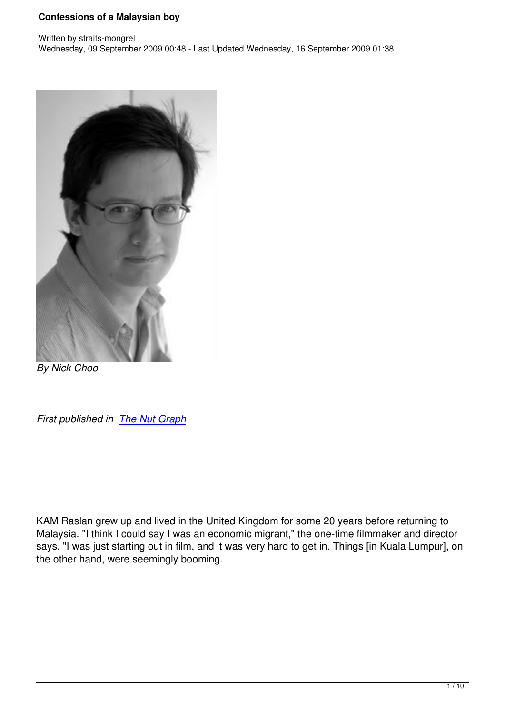

*By Nick Choo*

*First published in The Nut Graph*

KAM Raslan grew up and lived in the United Kingdom for some 20 years before returning to Malaysia. "I think I could say I was an economic migrant," the one-time filmmaker and director says. "I was just starting out in film, and it was very hard to get in. Things [in Kuala Lumpur], on the other hand, were seemingly booming.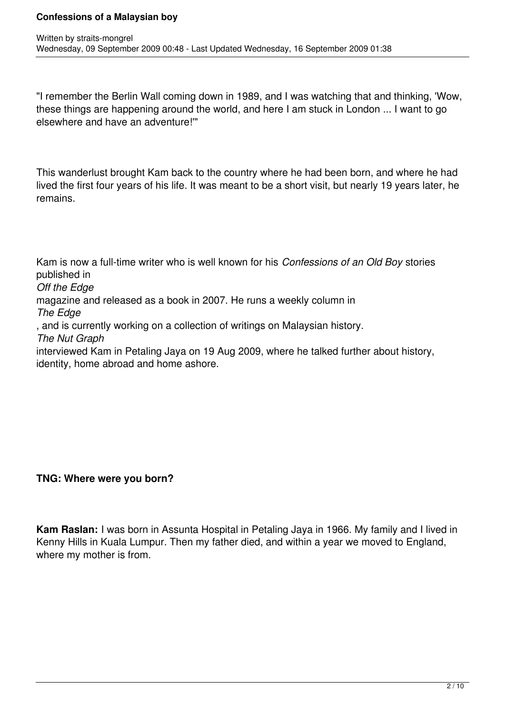"I remember the Berlin Wall coming down in 1989, and I was watching that and thinking, 'Wow, these things are happening around the world, and here I am stuck in London ... I want to go elsewhere and have an adventure!'"

This wanderlust brought Kam back to the country where he had been born, and where he had lived the first four years of his life. It was meant to be a short visit, but nearly 19 years later, he remains.

Kam is now a full-time writer who is well known for his *Confessions of an Old Boy* stories published in *Off the Edge*  magazine and released as a book in 2007. He runs a weekly column in *The Edge* , and is currently working on a collection of writings on Malaysian history. *The Nut Graph*  interviewed Kam in Petaling Jaya on 19 Aug 2009, where he talked further about history, identity, home abroad and home ashore.

### **TNG: Where were you born?**

**Kam Raslan:** I was born in Assunta Hospital in Petaling Jaya in 1966. My family and I lived in Kenny Hills in Kuala Lumpur. Then my father died, and within a year we moved to England, where my mother is from.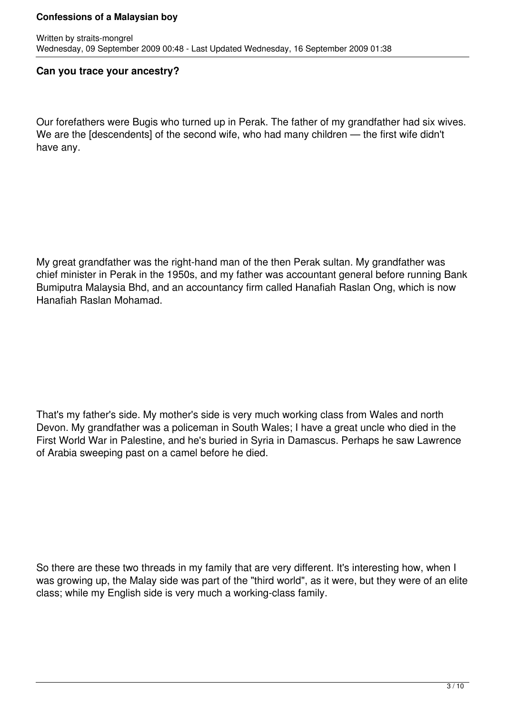#### **Can you trace your ancestry?**

Our forefathers were Bugis who turned up in Perak. The father of my grandfather had six wives. We are the [descendents] of the second wife, who had many children — the first wife didn't have any.

My great grandfather was the right-hand man of the then Perak sultan. My grandfather was chief minister in Perak in the 1950s, and my father was accountant general before running Bank Bumiputra Malaysia Bhd, and an accountancy firm called Hanafiah Raslan Ong, which is now Hanafiah Raslan Mohamad.

That's my father's side. My mother's side is very much working class from Wales and north Devon. My grandfather was a policeman in South Wales; I have a great uncle who died in the First World War in Palestine, and he's buried in Syria in Damascus. Perhaps he saw Lawrence of Arabia sweeping past on a camel before he died.

So there are these two threads in my family that are very different. It's interesting how, when I was growing up, the Malay side was part of the "third world", as it were, but they were of an elite class; while my English side is very much a working-class family.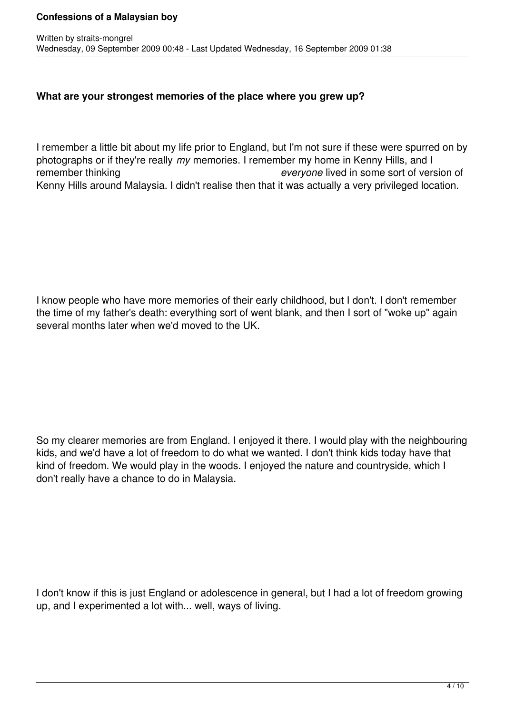### **What are your strongest memories of the place where you grew up?**

I remember a little bit about my life prior to England, but I'm not sure if these were spurred on by photographs or if they're really *my* memories. I remember my home in Kenny Hills, and I remember thinking *everyone* lived in some sort of version of Kenny Hills around Malaysia. I didn't realise then that it was actually a very privileged location.

I know people who have more memories of their early childhood, but I don't. I don't remember the time of my father's death: everything sort of went blank, and then I sort of "woke up" again several months later when we'd moved to the UK.

So my clearer memories are from England. I enjoyed it there. I would play with the neighbouring kids, and we'd have a lot of freedom to do what we wanted. I don't think kids today have that kind of freedom. We would play in the woods. I enjoyed the nature and countryside, which I don't really have a chance to do in Malaysia.

I don't know if this is just England or adolescence in general, but I had a lot of freedom growing up, and I experimented a lot with... well, ways of living.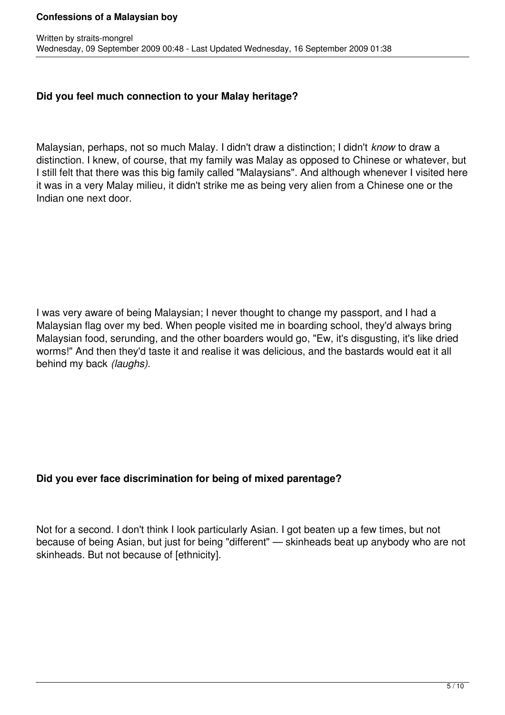## **Did you feel much connection to your Malay heritage?**

Malaysian, perhaps, not so much Malay. I didn't draw a distinction; I didn't *know* to draw a distinction. I knew, of course, that my family was Malay as opposed to Chinese or whatever, but I still felt that there was this big family called "Malaysians". And although whenever I visited here it was in a very Malay milieu, it didn't strike me as being very alien from a Chinese one or the Indian one next door.

I was very aware of being Malaysian; I never thought to change my passport, and I had a Malaysian flag over my bed. When people visited me in boarding school, they'd always bring Malaysian food, serunding, and the other boarders would go, "Ew, it's disgusting, it's like dried worms!" And then they'd taste it and realise it was delicious, and the bastards would eat it all behind my back *(laughs).*

# **Did you ever face discrimination for being of mixed parentage?**

Not for a second. I don't think I look particularly Asian. I got beaten up a few times, but not because of being Asian, but just for being "different" — skinheads beat up anybody who are not skinheads. But not because of [ethnicity].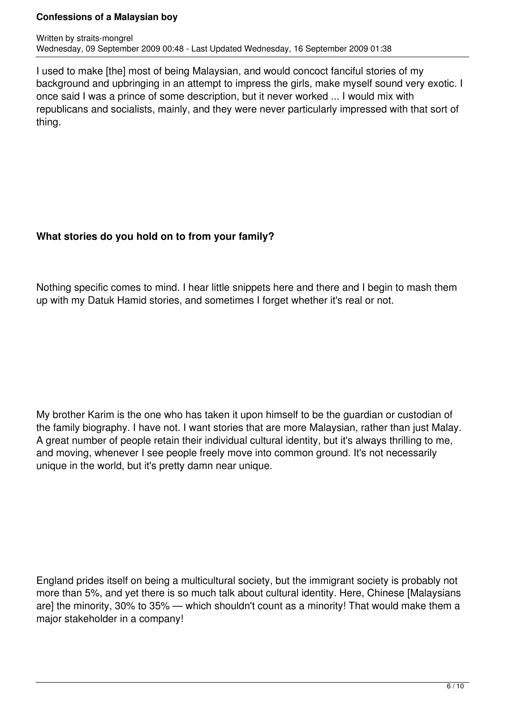I used to make [the] most of being Malaysian, and would concoct fanciful stories of my background and upbringing in an attempt to impress the girls, make myself sound very exotic. I once said I was a prince of some description, but it never worked ... I would mix with republicans and socialists, mainly, and they were never particularly impressed with that sort of thing.

# **What stories do you hold on to from your family?**

Nothing specific comes to mind. I hear little snippets here and there and I begin to mash them up with my Datuk Hamid stories, and sometimes I forget whether it's real or not.

My brother Karim is the one who has taken it upon himself to be the guardian or custodian of the family biography. I have not. I want stories that are more Malaysian, rather than just Malay. A great number of people retain their individual cultural identity, but it's always thrilling to me, and moving, whenever I see people freely move into common ground. It's not necessarily unique in the world, but it's pretty damn near unique.

England prides itself on being a multicultural society, but the immigrant society is probably not more than 5%, and yet there is so much talk about cultural identity. Here, Chinese [Malaysians are] the minority, 30% to 35% — which shouldn't count as a minority! That would make them a major stakeholder in a company!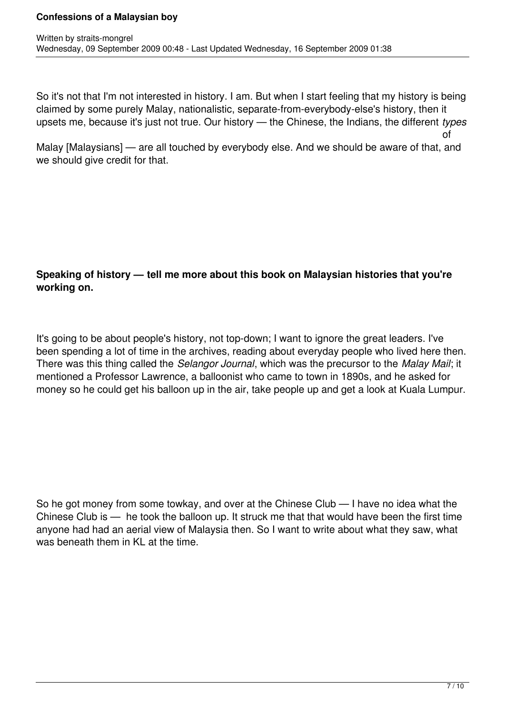So it's not that I'm not interested in history. I am. But when I start feeling that my history is being claimed by some purely Malay, nationalistic, separate-from-everybody-else's history, then it upsets me, because it's just not true. Our history — the Chinese, the Indians, the different *types*

Malay [Malaysians] — are all touched by everybody else. And we should be aware of that, and we should give credit for that.

# **Speaking of history — tell me more about this book on Malaysian histories that you're working on.**

It's going to be about people's history, not top-down; I want to ignore the great leaders. I've been spending a lot of time in the archives, reading about everyday people who lived here then. There was this thing called the *Selangor Journal*, which was the precursor to the *Malay Mail*; it mentioned a Professor Lawrence, a balloonist who came to town in 1890s, and he asked for money so he could get his balloon up in the air, take people up and get a look at Kuala Lumpur.

So he got money from some towkay, and over at the Chinese Club — I have no idea what the Chinese Club is — he took the balloon up. It struck me that that would have been the first time anyone had had an aerial view of Malaysia then. So I want to write about what they saw, what was beneath them in KL at the time.

of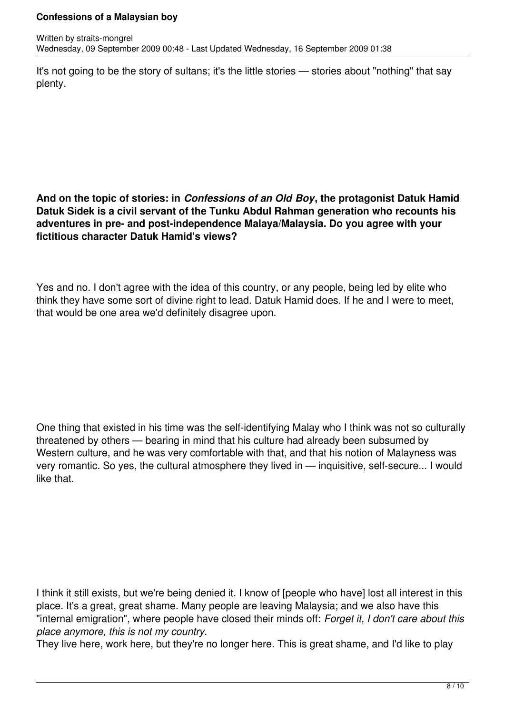It's not going to be the story of sultans; it's the little stories — stories about "nothing" that say plenty.

## **And on the topic of stories: in** *Confessions of an Old Boy***, the protagonist Datuk Hamid Datuk Sidek is a civil servant of the Tunku Abdul Rahman generation who recounts his adventures in pre- and post-independence Malaya/Malaysia. Do you agree with your fictitious character Datuk Hamid's views?**

Yes and no. I don't agree with the idea of this country, or any people, being led by elite who think they have some sort of divine right to lead. Datuk Hamid does. If he and I were to meet, that would be one area we'd definitely disagree upon.

One thing that existed in his time was the self-identifying Malay who I think was not so culturally threatened by others — bearing in mind that his culture had already been subsumed by Western culture, and he was very comfortable with that, and that his notion of Malayness was very romantic. So yes, the cultural atmosphere they lived in — inquisitive, self-secure... I would like that.

I think it still exists, but we're being denied it. I know of [people who have] lost all interest in this place. It's a great, great shame. Many people are leaving Malaysia; and we also have this "internal emigration", where people have closed their minds off: *Forget it, I don't care about this place anymore, this is not my country.*

They live here, work here, but they're no longer here. This is great shame, and I'd like to play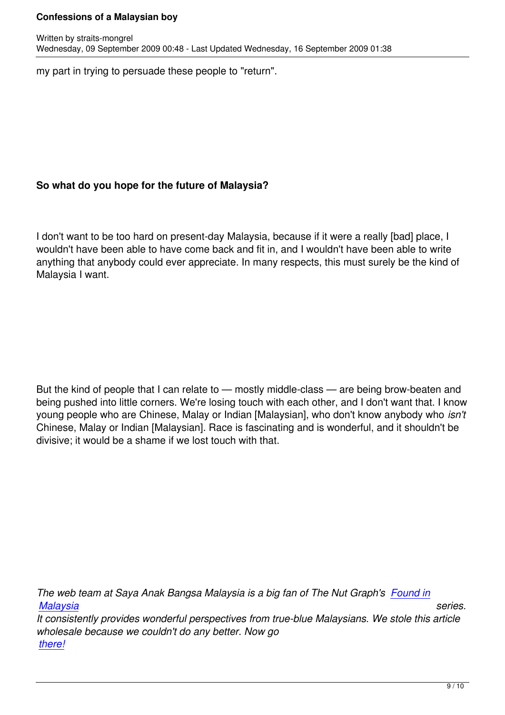my part in trying to persuade these people to "return".

Written by straits-mongrel

# **So what do you hope for the future of Malaysia?**

I don't want to be too hard on present-day Malaysia, because if it were a really [bad] place, I wouldn't have been able to have come back and fit in, and I wouldn't have been able to write anything that anybody could ever appreciate. In many respects, this must surely be the kind of Malaysia I want.

But the kind of people that I can relate to — mostly middle-class — are being brow-beaten and being pushed into little corners. We're losing touch with each other, and I don't want that. I know young people who are Chinese, Malay or Indian [Malaysian], who don't know anybody who *isn't*  Chinese, Malay or Indian [Malaysian]. Race is fascinating and is wonderful, and it shouldn't be divisive; it would be a shame if we lost touch with that.

*The web team at Saya Anak Bangsa Malaysia is a big fan of The Nut Graph's Found in Malaysia series. It consistently provides wonderful perspectives from true-blue Malaysians. We stole this article wholesale because we couldn't do any better. Now go [there!](http://www.thenutgraph.com/category/found-in-malaysia)*